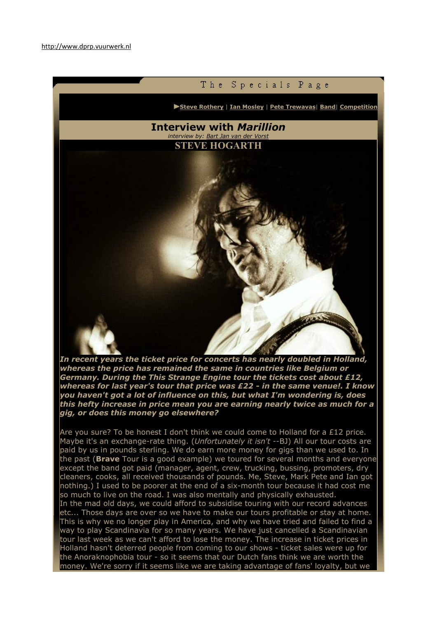

*In recent years the ticket price for concerts has nearly doubled in Holland, whereas the price has remained the same in countries like Belgium or Germany. During the This Strange Engine tour the tickets cost about £12, whereas for last year's tour that price was £22 - in the same venue!. I know you haven't got a lot of influence on this, but what I'm wondering is, does this hefty increase in price mean you are earning nearly twice as much for a gig, or does this money go elsewhere?* 

Are you sure? To be honest I don't think we could come to Holland for a £12 price. Maybe it's an exchange-rate thing. (*Unfortunately it isn't* --BJ) All our tour costs are paid by us in pounds sterling. We do earn more money for gigs than we used to. In the past (**Brave** Tour is a good example) we toured for several months and everyone except the band got paid (manager, agent, crew, trucking, bussing, promoters, dry cleaners, cooks, all received thousands of pounds. Me, Steve, Mark Pete and Ian got nothing.) I used to be poorer at the end of a six-month tour because it had cost me so much to live on the road. I was also mentally and physically exhausted.

In the mad old days, we could afford to subsidise touring with our record advances etc... Those days are over so we have to make our tours profitable or stay at home. This is why we no longer play in America, and why we have tried and failed to find a way to play Scandinavia for so many years. We have just cancelled a Scandinavian tour last week as we can't afford to lose the money. The increase in ticket prices in Holland hasn't deterred people from coming to our shows - ticket sales were up for the Anoraknophobia tour - so it seems that our Dutch fans think we are worth the money. We're sorry if it seems like we are taking advantage of fans' loyalty, but we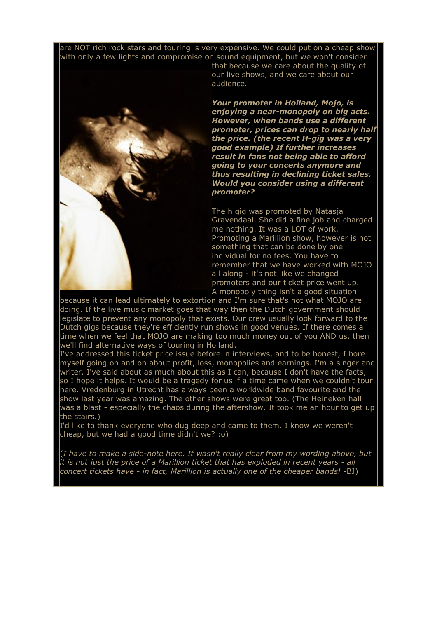are NOT rich rock stars and touring is very expensive. We could put on a cheap show with only a few lights and compromise on sound equipment, but we won't consider



that because we care about the quality of our live shows, and we care about our audience.

*Your promoter in Holland, Mojo, is enjoying a near-monopoly on big acts. However, when bands use a different promoter, prices can drop to nearly half the price. (the recent H-gig was a very good example) If further increases result in fans not being able to afford going to your concerts anymore and thus resulting in declining ticket sales. Would you consider using a different promoter?* 

The h gig was promoted by Natasja Gravendaal. She did a fine job and charged me nothing. It was a LOT of work. Promoting a Marillion show, however is not something that can be done by one individual for no fees. You have to remember that we have worked with MOJO all along - it's not like we changed promoters and our ticket price went up. A monopoly thing isn't a good situation

because it can lead ultimately to extortion and I'm sure that's not what MOJO are doing. If the live music market goes that way then the Dutch government should legislate to prevent any monopoly that exists. Our crew usually look forward to the Dutch gigs because they're efficiently run shows in good venues. If there comes a time when we feel that MOJO are making too much money out of you AND us, then we'll find alternative ways of touring in Holland.

I've addressed this ticket price issue before in interviews, and to be honest, I bore myself going on and on about profit, loss, monopolies and earnings. I'm a singer and writer. I've said about as much about this as I can, because I don't have the facts, so I hope it helps. It would be a tragedy for us if a time came when we couldn't tour here. Vredenburg in Utrecht has always been a worldwide band favourite and the show last year was amazing. The other shows were great too. (The Heineken hall was a blast - especially the chaos during the aftershow. It took me an hour to get up the stairs.)

I'd like to thank everyone who dug deep and came to them. I know we weren't cheap, but we had a good time didn't we? :o)

(*I have to make a side-note here. It wasn't really clear from my wording above, but it is not just the price of a Marillion ticket that has exploded in recent years - all concert tickets have - in fact, Marillion is actually one of the cheaper bands!* -BJ)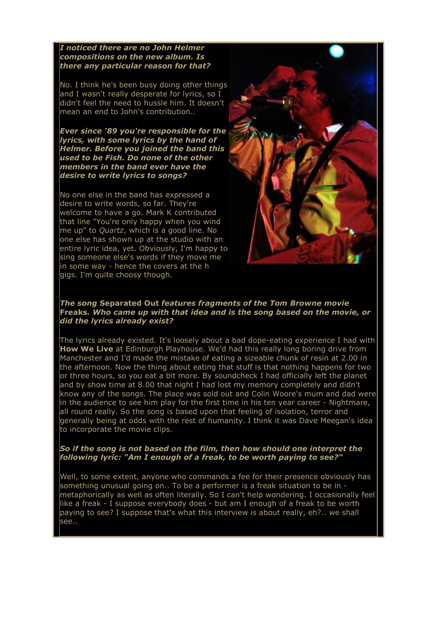*I noticed there are no John Helmer compositions on the new album. Is there any particular reason for that?*

No. I think he's been busy doing other things and I wasn't really desperate for lyrics, so I didn't feel the need to hussle him. It doesn't mean an end to John's contribution..

*Ever since '89 you're responsible for the lyrics, with some lyrics by the hand of Helmer. Before you joined the band this used to be Fish. Do none of the other members in the band ever have the desire to write lyrics to songs?* 

No one else in the band has expressed a desire to write words, so far. They're welcome to have a go. Mark K contributed that line "You're only happy when you wind me up" to *Quartz*, which is a good line. No one else has shown up at the studio with an entire lyric idea, yet. Obviously, I'm happy to sing someone else's words if they move me in some way - hence the covers at the h gigs. I'm quite choosy though.



## *The song* Separated Out *features fragments of the Tom Browne movie*  Freaks*. Who came up with that idea and is the song based on the movie, or did the lyrics already exist?*

The lyrics already existed. It's loosely about a bad dope-eating experience I had with How We Live at Edinburgh Playhouse. We'd had this really long boring drive from Manchester and I'd made the mistake of eating a sizeable chunk of resin at 2.00 in the afternoon. Now the thing about eating that stuff is that nothing happens for two or three hours, so you eat a bit more. By soundcheck I had officially left the planet and by show time at 8.00 that night I had lost my memory completely and didn't know any of the songs. The place was sold out and Colin Woore's mum and dad were in the audience to see him play for the first time in his ten year career - Nightmare, all round really. So the song is based upon that feeling of isolation, terror and generally being at odds with the rest of humanity. I think it was Dave Meegan's idea to incorporate the movie clips.

## *So if the song is not based on the film, then how should one interpret the following lyric: "Am I enough of a freak, to be worth paying to see?"*

Well, to some extent, anyone who commands a fee for their presence obviously has something unusual going on.. To be a performer is a freak situation to be in metaphorically as well as often literally. So I can't help wondering. I occasionally feel like a freak - I suppose everybody does - but am I enough of a freak to be worth paying to see? I suppose that's what this interview is about really, eh?.. we shall see..